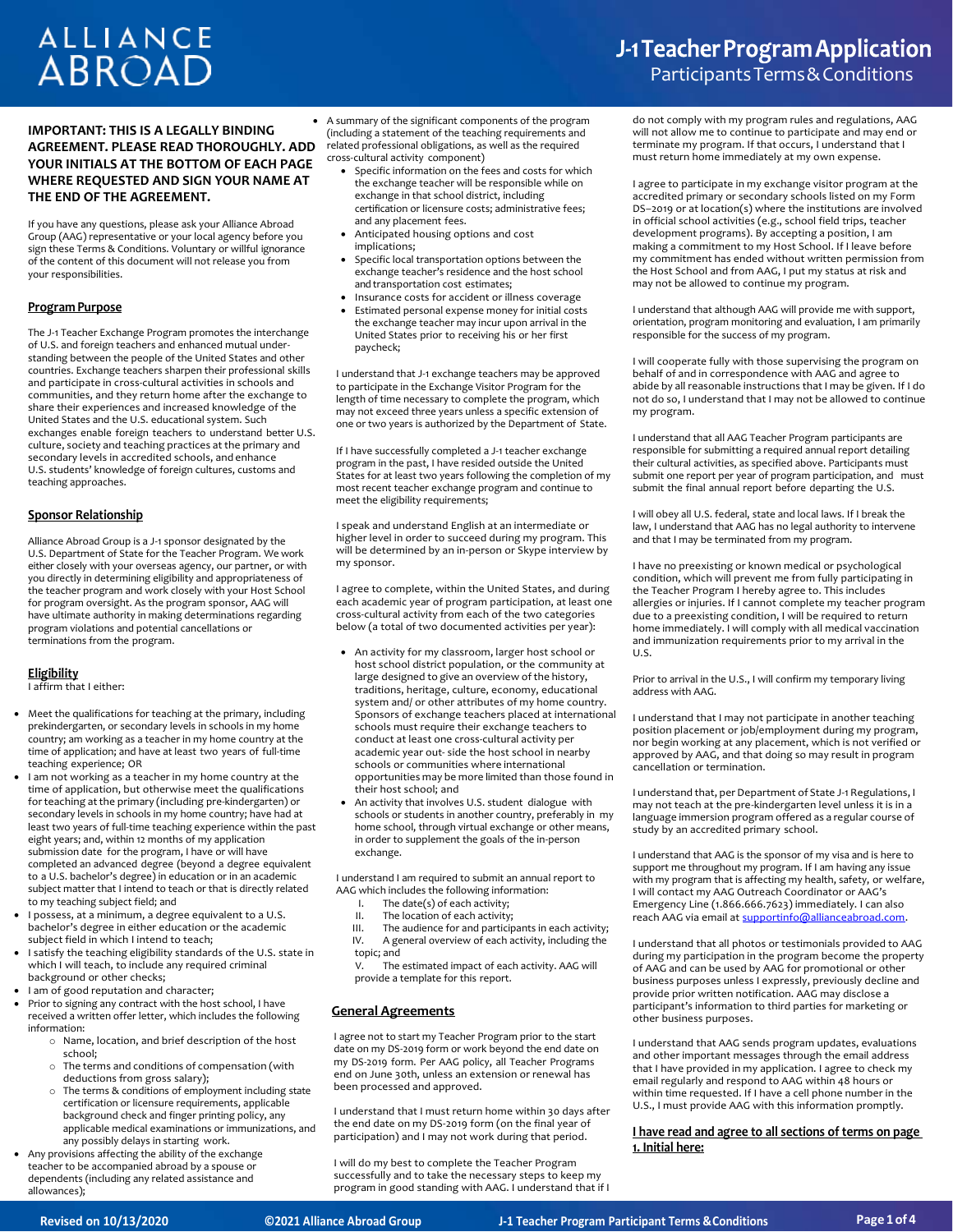# **ALLIANCE ABROAD**

# **IMPORTANT: THIS IS A LEGALLY BINDING AGREEMENT. PLEASE READ THOROUGHLY. ADD YOUR INITIALS AT THE BOTTOM OF EACH PAGE WHERE REQUESTED AND SIGN YOUR NAME AT THE END OF THE AGREEMENT.**

If you have any questions, please ask your Alliance Abroad Group (AAG) representative or your local agency before you sign these Terms & Conditions. Voluntary or willful ignorance of the content of this document will not release you from your responsibilities.

#### **Program Purpose**

The J-1 Teacher Exchange Program promotes the interchange of U.S. and foreign teachers and enhanced mutual understanding between the people of the United States and other countries. Exchange teachers sharpen their professional skills and participate in cross-cultural activities in schools and communities, and they return home after the exchange to share their experiences and increased knowledge of the United States and the U.S. educational system. Such exchanges enable foreign teachers to understand better U.S. culture, society and teaching practices at the primary and secondary levels in accredited schools, and enhance U.S. students' knowledge of foreign cultures, customs and teaching approaches.

#### **Sponsor Relationship**

Alliance Abroad Group is a J-1 sponsor designated by the U.S. Department of State for the Teacher Program. We work either closely with your overseas agency, our partner, or with you directly in determining eligibility and appropriateness of the teacher program and work closely with your Host School for program oversight. As the program sponsor, AAG will have ultimate authority in making determinations regarding program violations and potential cancellations or terminations from the program.

#### **Eligibility**

I affirm that I either:

- Meet the qualifications for teaching at the primary, including prekindergarten, or secondary levels in schools in my home country; am working as a teacher in my home country at the time of application; and have at least two years of full-time teaching experience; OR
- I am not working as a teacher in my home country at the time of application, but otherwise meet the qualifications for teaching at the primary (including pre-kindergarten) or secondary levels in schools in my home country; have had at least two years of full-time teaching experience within the past eight years; and, within 12 months of my application submission date for the program, I have or will have completed an advanced degree (beyond a degree equivalent to a U.S. bachelor's degree) in education or in an academic subject matter that I intend to teach or that is directly related to my teaching subject field; and
- I possess, at a minimum, a degree equivalent to a U.S. bachelor's degree in either education or the academic subject field in which I intend to teach;
- I satisfy the teaching eligibility standards of the U.S. state in which I will teach, to include any required criminal background or other checks;
- I am of good reputation and character;
- Prior to signing any contract with the host school, I have received a written offer letter, which includes the following information:
	- o Name, location, and brief description of the host school;
	- o The terms and conditions of compensation (with deductions from gross salary);
	- o The terms & conditions of employment including state certification or licensure requirements, applicable background check and finger printing policy, any applicable medical examinations or immunizations, and any possibly delays in starting work.
- Any provisions affecting the ability of the exchange teacher to be accompanied abroad by a spouse or dependents (including any related assistance and allowances);

 A summary of the significant components of the program (including a statement of the teaching requirements and related professional obligations, as well as the required cross-cultural activity component)

- Specific information on the fees and costs for which the exchange teacher will be responsible while on exchange in that school district, including certification or licensure costs; administrative fees; and any placement fees.
- Anticipated housing options and cost implications;
- Specific local transportation options between the exchange teacher's residence and the host school and transportation cost estimates;
- Insurance costs for accident or illness coverage Estimated personal expense money for initial costs the exchange teacher may incur upon arrival in the United States prior to receiving his or her first paycheck;

I understand that J-1 exchange teachers may be approved to participate in the Exchange Visitor Program for the length of time necessary to complete the program, which may not exceed three years unless a specific extension of one or two years is authorized by the Department of State.

If I have successfully completed a J-1 teacher exchange program in the past, I have resided outside the United States for at least two years following the completion of my most recent teacher exchange program and continue to meet the eligibility requirements;

I speak and understand English at an intermediate or higher level in order to succeed during my program. This will be determined by an in-person or Skype interview by my sponsor.

I agree to complete, within the United States, and during each academic year of program participation, at least one cross-cultural activity from each of the two categories below (a total of two documented activities per year):

- An activity for my classroom, larger host school or host school district population, or the community at large designed to give an overview of the history, traditions, heritage, culture, economy, educational system and/ or other attributes of my home country. Sponsors of exchange teachers placed at international schools must require their exchange teachers to conduct at least one cross-cultural activity per academic year out- side the host school in nearby schools or communities where international opportunities may be more limited than those found in their host school; and
- An activity that involves U.S. student dialogue with schools or students in another country, preferably in my home school, through virtual exchange or other means, in order to supplement the goals of the in-person exchange.

I understand I am required to submit an annual report to AAG which includes the following information:<br> $L$  The date(s) of each activity:

- I. The date(s) of each activity;<br>II. The location of each activity
- II. The location of each activity;<br>III. The audience for and particip

III. The audience for and participants in each activity;<br>IV. A general overview of each activity, including the A general overview of each activity, including the

topic; and<br>V. The The estimated impact of each activity. AAG will provide a template for this report.

# **General Agreements**

I agree not to start my Teacher Program prior to the start date on my DS-2019 form or work beyond the end date on my DS-2019 form. Per AAG policy, all Teacher Programs end on June 30th, unless an extension or renewal has been processed and approved.

I understand that I must return home within 30 days after the end date on my DS-2019 form (on the final year of participation) and I may not work during that period.

I will do my best to complete the Teacher Program successfully and to take the necessary steps to keep my program in good standing with AAG. I understand that if I

# J-1 Teacher Program Application ParticipantsTerms&Conditions

do not comply with my program rules and regulations, AAG will not allow me to continue to participate and may end or terminate my program. If that occurs, I understand that I must return home immediately at my own expense.

I agree to participate in my exchange visitor program at the accredited primary or secondary schools listed on my Form DS–2019 or at location(s) where the institutions are involved in official school activities (e.g., school field trips, teacher development programs). By accepting a position, I am making a commitment to my Host School. If I leave before my commitment has ended without written permission from the Host School and from AAG, I put my status at risk and may not be allowed to continue my program.

I understand that although AAG will provide me with support, orientation, program monitoring and evaluation, I am primarily responsible for the success of my program.

I will cooperate fully with those supervising the program on behalf of and in correspondence with AAG and agree to abide by all reasonable instructions that I may be given. If I do not do so, I understand that I may not be allowed to continue my program.

I understand that all AAG Teacher Program participants are responsible for submitting a required annual report detailing their cultural activities, as specified above. Participants must submit one report per year of program participation, and must submit the final annual report before departing the U.S.

I will obey all U.S. federal, state and local laws. If I break the law, I understand that AAG has no legal authority to intervene and that I may be terminated from my program.

I have no preexisting or known medical or psychological condition, which will prevent me from fully participating in the Teacher Program I hereby agree to. This includes allergies or injuries. If I cannot complete my teacher program due to a preexisting condition, I will be required to return home immediately. I will comply with all medical vaccination and immunization requirements prior to my arrival in the U.S.

Prior to arrival in the U.S., I will confirm my temporary living address with AAG.

I understand that I may not participate in another teaching position placement or job/employment during my program, nor begin working at any placement, which is not verified or approved by AAG, and that doing so may result in program cancellation or termination.

I understand that, per Department of State J-1 Regulations, I may not teach at the pre-kindergarten level unless it is in a language immersion program offered as a regular course of study by an accredited primary school.

I understand that AAG is the sponsor of my visa and is here to support me throughout my program. If I am having any issue with my program that is affecting my health, safety, or welfare, I will contact my AAG Outreach Coordinator or AAG's Emergency Line (1.866.666.7623) immediately. I can also reach AAG via email at supportinfo@allianceabroad.com.

I understand that all photos or testimonials provided to AAG during my participation in the program become the property of AAG and can be used by AAG for promotional or other business purposes unless I expressly, previously decline and provide prior written notification. AAG may disclose a participant's information to third parties for marketing or other business purposes.

I understand that AAG sends program updates, evaluations and other important messages through the email address that I have provided in my application. I agree to check my email regularly and respond to AAG within 48 hours or within time requested. If I have a cell phone number in the U.S., I must provide AAG with this information promptly.

# **I have read and agree to all sections of terms on page 1. Initial here:**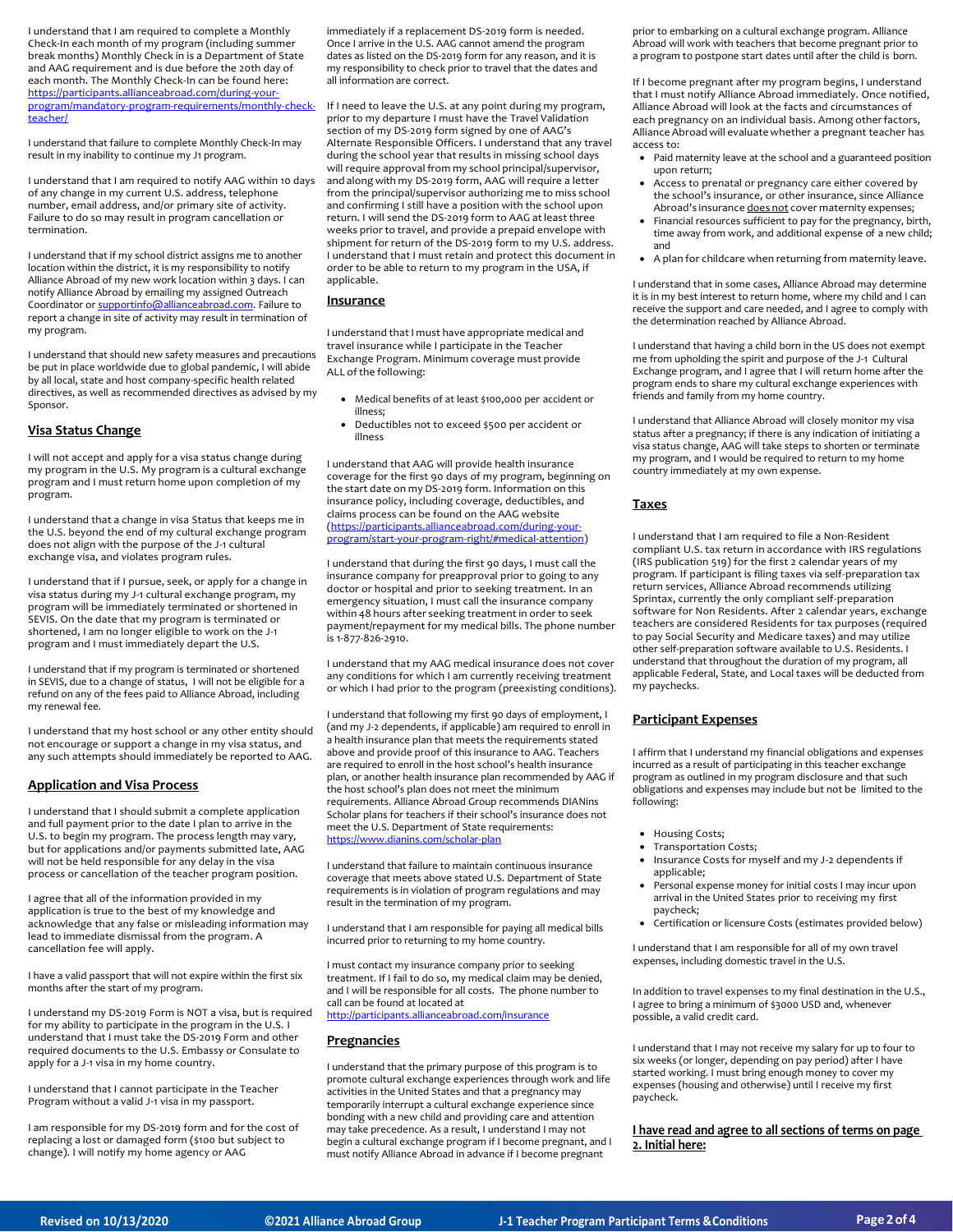I understand that I am required to complete a Monthly Check-In each month of my program (including summer break months) Monthly Check in is a Department of State and AAG requirement and is due before the 20th day of each month. The Monthly Check-In can be found here: [https://participants.allianceabroad.com/during-your](https://participants.allianceabroad.com/during-your-program/mandatory-program-requirements/monthly-check-teacher/)[program/mandatory-program-requirements/monthly-check](https://participants.allianceabroad.com/during-your-program/mandatory-program-requirements/monthly-check-teacher/)[teacher/](https://participants.allianceabroad.com/during-your-program/mandatory-program-requirements/monthly-check-teacher/)

I understand that failure to complete Monthly Check-In may result in my inability to continue my J1 program.

I understand that I am required to notify AAG within 10 days of any change in my current U.S. address, telephone number, email address, and/or primary site of activity. Failure to do so may result in program cancellation or termination.

I understand that if my school district assigns me to another location within the district, it is my responsibility to notify Alliance Abroad of my new work location within 3 days. I can notify Alliance Abroad by emailing my assigned Outreach Coordinator o[r supportinfo@allianceabroad.com.](mailto:supportinfo@allianceabroad.com) Failure to report a change in site of activity may result in termination of my program.

I understand that should new safety measures and precautions be put in place worldwide due to global pandemic, I will abide by all local, state and host company-specific health related directives, as well as recommended directives as advised by my Sponsor.

#### **Visa Status Change**

I will not accept and apply for a visa status change during my program in the U.S. My program is a cultural exchange program and I must return home upon completion of my program.

I understand that a change in visa Status that keeps me in the U.S. beyond the end of my cultural exchange program does not align with the purpose of the J-1 cultural exchange visa, and violates program rules.

I understand that if I pursue, seek, or apply for a change in visa status during my J-1 cultural exchange program, my program will be immediately terminated or shortened in SEVIS. On the date that my program is terminated or shortened, I am no longer eligible to work on the J-1 program and I must immediately depart the U.S.

I understand that if my program is terminated or shortened in SEVIS, due to a change of status, I will not be eligible for a refund on any of the fees paid to Alliance Abroad, including my renewal fee.

I understand that my host school or any other entity should not encourage or support a change in my visa status, and any such attempts should immediately be reported to AAG.

#### **Application and Visa Process**

I understand that I should submit a complete application and full payment prior to the date I plan to arrive in the U.S. to begin my program. The process length may vary, but for applications and/or payments submitted late, AAG will not be held responsible for any delay in the visa process or cancellation of the teacher program position.

I agree that all of the information provided in my application is true to the best of my knowledge and acknowledge that any false or misleading information may lead to immediate dismissal from the program. A cancellation fee will apply.

I have a valid passport that will not expire within the first six months after the start of my program.

I understand my DS-2019 Form is NOT a visa, but is required for my ability to participate in the program in the U.S. I understand that I must take the DS-2019 Form and other required documents to the U.S. Embassy or Consulate to apply for a J-1 visa in my home country.

I understand that I cannot participate in the Teacher Program without a valid J-1 visa in my passport.

I am responsible for my DS-2019 form and for the cost of replacing a lost or damaged form (\$100 but subject to change). I will notify my home agency or AAG

immediately if a replacement DS-2019 form is needed. Once I arrive in the U.S. AAG cannot amend the program dates as listed on the DS-2019 form for any reason, and it is my responsibility to check prior to travel that the dates and all information are correct.

If I need to leave the U.S. at any point during my program, prior to my departure I must have the Travel Validation section of my DS-2019 form signed by one of AAG's Alternate Responsible Officers. I understand that any travel during the school year that results in missing school days will require approval from my school principal/supervisor, and along with my DS-2019 form, AAG will require a letter from the principal/supervisor authorizing me to miss school and confirming I still have a position with the school upon return. I will send the DS-2019 form to AAG atleast three weeks prior to travel, and provide a prepaid envelope with shipment for return of the DS-2019 form to my U.S. address. I understand that I must retain and protect this document in order to be able to return to my program in the USA, if applicable.

# **Insurance**

I understand that I must have appropriate medical and travel insurance while I participate in the Teacher Exchange Program. Minimum coverage must provide ALL of the following:

- Medical benefits of at least \$100,000 per accident or illness;
- Deductibles not to exceed \$500 per accident or illness

I understand that AAG will provide health insurance coverage for the first 90 days of my program, beginning on the start date on my DS-2019 form. Information on this insurance policy, including coverage, deductibles, and claims process can be found on the AAG website [\(https://participants.allianceabroad.com/during-your](https://participants.allianceabroad.com/during-your-program/start-your-program-right/#medical-attention)[program/start-your-program-right/#medical-attention\)](https://participants.allianceabroad.com/during-your-program/start-your-program-right/#medical-attention)

I understand that during the first 90 days, I must call the insurance company for preapproval prior to going to any doctor or hospital and prior to seeking treatment. In an emergency situation, I must call the insurance company within 48 hours after seeking treatment in order to seek payment/repayment for my medical bills. The phone number is 1-877-826-2910.

I understand that my AAG medical insurance does not cover any conditions for which I am currently receiving treatment or which I had prior to the program (preexisting conditions).

I understand that following my first 90 days of employment, I (and my J-2 dependents, if applicable) am required to enroll in a health insurance plan that meets the requirements stated above and provide proof of this insurance to AAG. Teachers are required to enroll in the host school's health insurance plan, or another health insurance plan recommended by AAG if the host school's plan does not meet the minimum requirements. Alliance Abroad Group recommends DIANins Scholar plans for teachers if their school's insurance does not meet the U.S. Department of State requirements: <https://www.dianins.com/scholar-plan>

I understand that failure to maintain continuous insurance coverage that meets above stated U.S. Department of State requirements is in violation of program regulations and may result in the termination of my program.

I understand that I am responsible for paying all medical bills incurred prior to returning to my home country.

I must contact my insurance company prior to seeking treatment. If I fail to do so, my medical claim may be denied, and I will be responsible for all costs. The phone number to call can be found at located at <http://participants.allianceabroad.com/insurance>

# **Pregnancies**

I understand that the primary purpose of this program is to promote cultural exchange experiences through work and life activities in the United States and that a pregnancy may temporarily interrupt a cultural exchange experience since bonding with a new child and providing care and attention may take precedence. As a result, I understand I may not begin a cultural exchange program if I become pregnant, and I must notify Alliance Abroad in advance if I become pregnant

prior to embarking on a cultural exchange program. Alliance Abroad will work with teachers that become pregnant prior to a program to postpone start dates until after the child is born.

If I become pregnant after my program begins, I understand that I must notify Alliance Abroad immediately. Once notified, Alliance Abroad will look at the facts and circumstances of each pregnancy on an individual basis. Among other factors, Alliance Abroad will evaluate whether a pregnant teacher has access to:

- Paid maternity leave at the school and a guaranteed position upon return;
- Access to prenatal or pregnancy care either covered by the school's insurance, or other insurance, since Alliance Abroad's insurance does not cover maternity expenses;
- Financial resources sufficient to pay for the pregnancy, birth, time away from work, and additional expense of a new child; and
- A plan for childcare when returning from maternity leave.

I understand that in some cases, Alliance Abroad may determine it is in my best interest to return home, where my child and I can receive the support and care needed, and I agree to comply with the determination reached by Alliance Abroad.

I understand that having a child born in the US does not exempt me from upholding the spirit and purpose of the J-1 Cultural Exchange program, and I agree that I will return home after the program ends to share my cultural exchange experiences with friends and family from my home country.

I understand that Alliance Abroad will closely monitor my visa status after a pregnancy; if there is any indication of initiating a visa status change, AAG will take steps to shorten or terminate my program, and I would be required to return to my home country immediately at my own expense.

# **Taxes**

I understand that I am required to file a Non-Resident compliant U.S. tax return in accordance with IRS regulations (IRS publication 519) for the first 2 calendar years of my program. If participant is filing taxes via self-preparation tax return services, Alliance Abroad recommends utilizing Sprintax, currently the only compliant self-preparation software for Non Residents. After 2 calendar years, exchange teachers are considered Residents for tax purposes (required to pay Social Security and Medicare taxes) and may utilize other self-preparation software available to U.S. Residents. I understand that throughout the duration of my program, all applicable Federal, State, and Local taxes will be deducted from my paychecks.

# **Participant Expenses**

I affirm that I understand my financial obligations and expenses incurred as a result of participating in this teacher exchange program as outlined in my program disclosure and that such obligations and expenses may include but not be limited to the following:

- Housing Costs;
- Transportation Costs;
- Insurance Costs for myself and my J-2 dependents if applicable;
- Personal expense money for initial costs I may incur upon arrival in the United States prior to receiving my first paycheck;
- Certification or licensure Costs (estimates provided below)

I understand that I am responsible for all of my own travel expenses, including domestic travel in the U.S.

In addition to travel expenses to my final destination in the U.S., I agree to bring a minimum of \$3000 USD and, whenever possible, a valid credit card.

I understand that I may not receive my salary for up to four to six weeks (or longer, depending on pay period) after I have started working. I must bring enough money to cover my expenses (housing and otherwise) until I receive my first paycheck.

**I have read and agree to all sections of terms on page 2. Initial here:**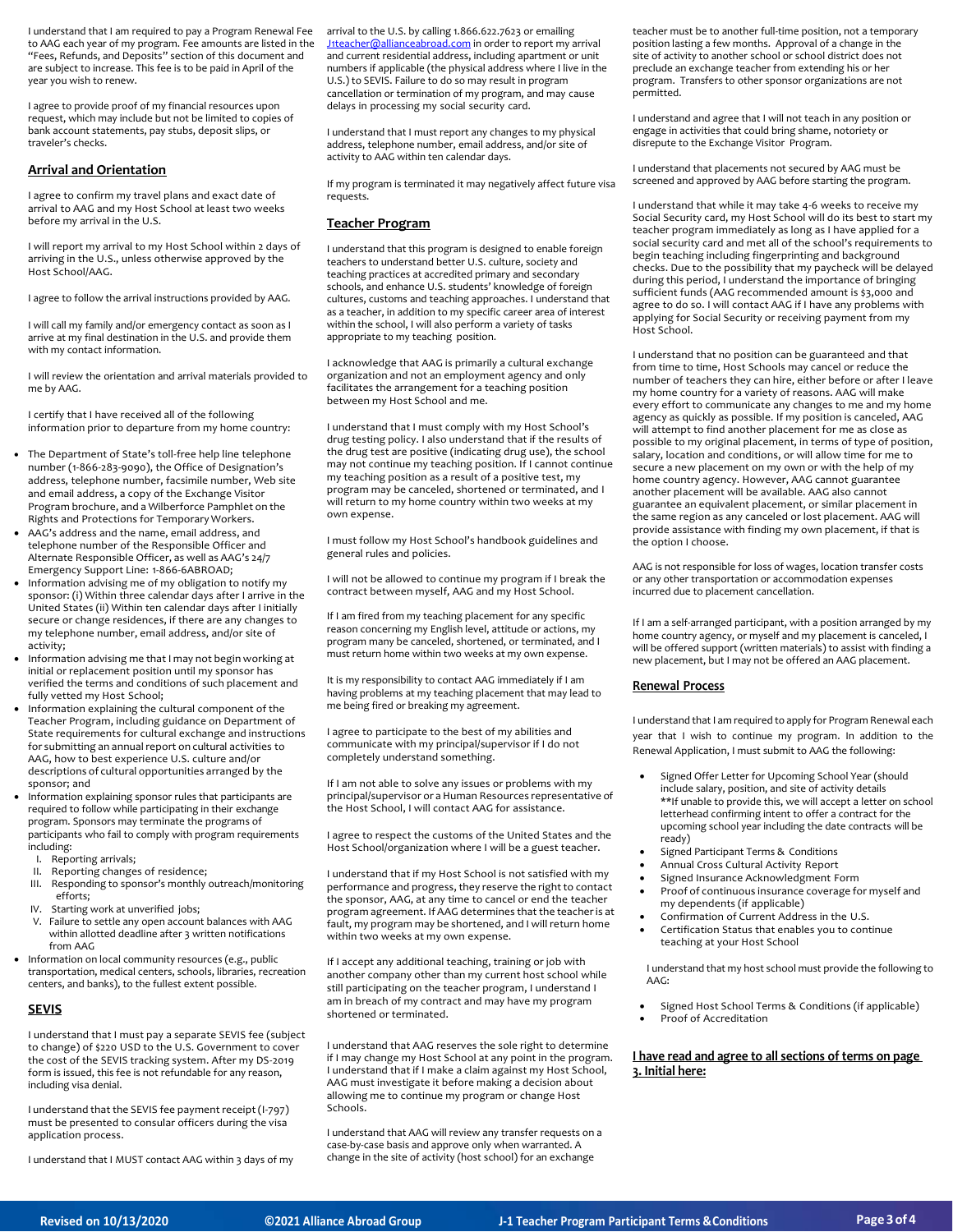I understand that I am required to pay a Program Renewal Fee to AAG each year of my program. Fee amounts are listed in the "Fees, Refunds, and Deposits" section of this document and are subject to increase. This fee is to be paid in April of the year you wish to renew.

I agree to provide proof of my financial resources upon request, which may include but not be limited to copies of bank account statements, pay stubs, deposit slips, or traveler's checks.

#### **Arrival and Orientation**

I agree to confirm my travel plans and exact date of arrival to AAG and my Host School at least two weeks before my arrival in the U.S.

I will report my arrival to my Host School within 2 days of arriving in the U.S., unless otherwise approved by the Host School/AAG.

I agree to follow the arrival instructions provided by AAG.

I will call my family and/or emergency contact as soon as I arrive at my final destination in the U.S. and provide them with my contact information.

I will review the orientation and arrival materials provided to me by AAG.

I certify that I have received all of the following information prior to departure from my home country:

- The Department of State's toll-free help line telephone number (1-866-283-9090), the Office of Designation's address, telephone number, facsimile number, Web site and email address, a copy of the Exchange Visitor Program brochure, and a Wilberforce Pamphlet on the Rights and Protections for Temporary Workers.
- AAG's address and the name, email address, and telephone number of the Responsible Officer and Alternate Responsible Officer, as well as AAG's 24/7 Emergency Support Line: 1-866-6ABROAD;
- Information advising me of my obligation to notify my sponsor: (i) Within three calendar days after I arrive in the United States (ii) Within ten calendar days after I initially secure or change residences, if there are any changes to my telephone number, email address, and/or site of activity;
- Information advising me that I may not begin working at initial or replacement position until my sponsor has verified the terms and conditions of such placement and fully vetted my Host School;
- Information explaining the cultural component of the Teacher Program, including guidance on Department of State requirements for cultural exchange and instructions for submitting an annual report on cultural activities to AAG, how to best experience U.S. culture and/or descriptions of cultural opportunities arranged by the sponsor; and
- Information explaining sponsor rules that participants are required to follow while participating in their exchange program. Sponsors may terminate the programs of participants who fail to comply with program requirements including:
	- I. Reporting arrivals;
	- II. Reporting changes of residence;
- III. Responding to sponsor's monthly outreach/monitoring efforts;
- IV. Starting work at unverified jobs;
- V. Failure to settle any open account balances with AAG within allotted deadline after 3 written notifications from AAG

• Information on local community resources (e.g., public transportation, medical centers, schools, libraries, recreation centers, and banks), to the fullest extent possible.

#### **SEVIS**

I understand that I must pay a separate SEVIS fee (subject to change) of \$220 USD to the U.S. Government to cover the cost of the SEVIS tracking system. After my DS-2019 form is issued, this fee is not refundable for any reason, including visa denial.

I understand that the SEVIS fee payment receipt (I-797) must be presented to consular officers during the visa application process.

I understand that I MUST contact AAG within 3 days of my

arrival to the U.S. by calling 1.866.622.7623 or emailing [J1teacher@allianceabroad.com](mailto:J1teacher@allianceabroad.com) in order to report my arrival and current residential address, including apartment or unit numbers if applicable (the physical address where I live in the U.S.) to SEVIS. Failure to do so may result in program cancellation or termination of my program, and may cause delays in processing my social security card.

I understand that I must report any changes to my physical address, telephone number, email address, and/or site of activity to AAG within ten calendar days.

If my program is terminated it may negatively affect future visa requests.

#### **Teacher Program**

I understand that this program is designed to enable foreign teachers to understand better U.S. culture, society and teaching practices at accredited primary and secondary schools, and enhance U.S. students' knowledge of foreign cultures, customs and teaching approaches. I understand that as a teacher, in addition to my specific career area of interest within the school, I will also perform a variety of tasks appropriate to my teaching position.

I acknowledge that AAG is primarily a cultural exchange organization and not an employment agency and only facilitates the arrangement for a teaching position between my Host School and me.

I understand that I must comply with my Host School's drug testing policy. I also understand that if the results of the drug test are positive (indicating drug use), the school may not continue my teaching position. If I cannot continue my teaching position as a result of a positive test, my program may be canceled, shortened or terminated, and I will return to my home country within two weeks at my own expense.

I must follow my Host School's handbook guidelines and general rules and policies.

I will not be allowed to continue my program if I break the contract between myself, AAG and my Host School.

If I am fired from my teaching placement for any specific reason concerning my English level, attitude or actions, my program many be canceled, shortened, or terminated, and I must return home within two weeks at my own expense.

It is my responsibility to contact AAG immediately if I am having problems at my teaching placement that may lead to me being fired or breaking my agreement.

I agree to participate to the best of my abilities and communicate with my principal/supervisor if I do not completely understand something.

If I am not able to solve any issues or problems with my principal/supervisor or a Human Resources representative of the Host School, I will contact AAG for assistance.

I agree to respect the customs of the United States and the Host School/organization where I will be a guest teacher.

I understand that if my Host School is not satisfied with my performance and progress, they reserve the right to contact the sponsor, AAG, at any time to cancel or end the teacher program agreement. If AAG determines that the teacher is at fault, my program may be shortened, and I will return home within two weeks at my own expense.

If I accept any additional teaching, training or job with another company other than my current host school while still participating on the teacher program, I understand I am in breach of my contract and may have my program shortened or terminated.

I understand that AAG reserves the sole right to determine if I may change my Host School at any point in the program. I understand that if I make a claim against my Host School, AAG must investigate it before making a decision about allowing me to continue my program or change Host Schools.

I understand that AAG will review any transfer requests on a case-by-case basis and approve only when warranted. A change in the site of activity (host school) for an exchange

teacher must be to another full-time position, not a temporary position lasting a few months. Approval of a change in the site of activity to another school or school district does not preclude an exchange teacher from extending his or her program. Transfers to other sponsor organizations are not permitted.

I understand and agree that I will not teach in any position or engage in activities that could bring shame, notoriety or disrepute to the Exchange Visitor Program.

I understand that placements not secured by AAG must be screened and approved by AAG before starting the program.

I understand that while it may take 4-6 weeks to receive my Social Security card, my Host School will do its best to start my teacher program immediately as long as I have applied for a social security card and met all of the school's requirements to begin teaching including fingerprinting and background checks. Due to the possibility that my paycheck will be delayed during this period, I understand the importance of bringing sufficient funds (AAG recommended amount is \$3,000 and agree to do so. I will contact AAG if I have any problems with applying for Social Security or receiving payment from my Host School.

I understand that no position can be guaranteed and that from time to time, Host Schools may cancel or reduce the number of teachers they can hire, either before or after I leave my home country for a variety of reasons. AAG will make every effort to communicate any changes to me and my home agency as quickly as possible. If my position is canceled, AAG will attempt to find another placement for me as close as possible to my original placement, in terms of type of position, salary, location and conditions, or will allow time for me to secure a new placement on my own or with the help of my home country agency. However, AAG cannot guarantee another placement will be available. AAG also cannot guarantee an equivalent placement, or similar placement in the same region as any canceled or lost placement. AAG will provide assistance with finding my own placement, if that is the option I choose.

AAG is not responsible for loss of wages, location transfer costs or any other transportation or accommodation expenses incurred due to placement cancellation.

If I am a self-arranged participant, with a position arranged by my home country agency, or myself and my placement is canceled, I will be offered support (written materials) to assist with finding a new placement, but I may not be offered an AAG placement.

#### **Renewal Process**

I understand that I am required to apply for Program Renewal each year that I wish to continue my program. In addition to the Renewal Application, I must submit to AAG the following:

- Signed Offer Letter for Upcoming School Year (should include salary, position, and site of activity details \*\*If unable to provide this, we will accept a letter on school letterhead confirming intent to offer a contract for the upcoming school year including the date contracts will be ready)
- Signed Participant Terms & Conditions
- Annual Cross Cultural Activity Report<br>• Signed Insurance Acknowledgment F
- Signed Insurance Acknowledgment Form
- Proof of continuous insurance coverage for myself and my dependents (if applicable)
- Confirmation of Current Address in the U.S. Certification Status that enables you to continue
- teaching at your Host School

I understand that my host school must provide the following to AAG:

 Signed Host School Terms & Conditions (if applicable) Proof of Accreditation

#### **I have read and agree to all sections of terms on page 3. Initial here:**